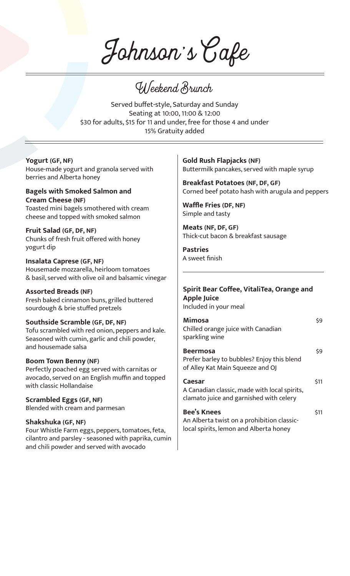Johnson's Cafe

Weekend Brunch

Served buffet-style, Saturday and Sunday Seating at 10:00, 11:00 & 12:00 \$30 for adults, \$15 for 11 and under, free for those 4 and under 15% Gratuity added

### **Yogurt (GF, NF)**

House-made yogurt and granola served with berries and Alberta honey

**Bagels with Smoked Salmon and Cream Cheese (NF)** Toasted mini bagels smothered with cream cheese and topped with smoked salmon

**Fruit Salad (GF, DF, NF)** Chunks of fresh fruit offered with honey yogurt dip

**Insalata Caprese (GF, NF)** Housemade mozzarella, heirloom tomatoes & basil, served with olive oil and balsamic vinegar

#### **Assorted Breads (NF)**

Fresh baked cinnamon buns, grilled buttered sourdough & brie stuffed pretzels

**Southside Scramble (GF, DF, NF)** Tofu scrambled with red onion, peppers and kale. Seasoned with cumin, garlic and chili powder, and housemade salsa

#### **Boom Town Benny (NF)**

Perfectly poached egg served with carnitas or avocado, served on an English muffin and topped with classic Hollandaise

**Scrambled Eggs (GF, NF)** Blended with cream and parmesan

#### **Shakshuka (GF, NF)**

Four Whistle Farm eggs, peppers, tomatoes, feta, cilantro and parsley - seasoned with paprika, cumin and chili powder and served with avocado

**Gold Rush Flapjacks (NF)** Buttermilk pancakes, served with maple syrup

**Breakfast Potatoes (NF, DF, GF)** Corned beef potato hash with arugula and peppers

**Waffle Fries (DF, NF)** Simple and tasty

**Meats (NF, DF, GF)** Thick-cut bacon & breakfast sausage

**Pastries** A sweet finish

#### **Spirit Bear Coffee, VitaliTea, Orange and Apple Juice** Included in your meal

**Mimosa**  $\frac{1}{9}$ Chilled orange juice with Canadian sparkling wine

| <b>Beermosa</b>                            | \$9 |
|--------------------------------------------|-----|
| Prefer barley to bubbles? Enjoy this blend |     |
| of Alley Kat Main Squeeze and OJ           |     |

#### **Caesar** \$11

A Canadian classic, made with local spirits, clamato juice and garnished with celery

#### **Bee's Knees** \$11 An Alberta twist on a prohibition classiclocal spirits, lemon and Alberta honey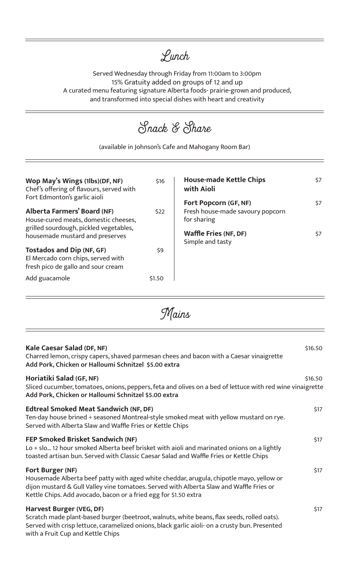# Lunch

Served Wednesday through Friday from 11:00am to 3:00pm 15% Gratuity added on groups of 12 and up A curated menu featuring signature Alberta foods- prairie-grown and produced, and transformed into special dishes with heart and creativity

**Wop May's Wings (1lbs)(DF, NF)** \$16 Chef's offering of flavours, served with Fort Edmonton's garlic aioli **Alberta Farmers' Board (NF)** \$22 House-cured meats, domestic cheeses, grilled sourdough, pickled vegetables, housemade mustard and preserves **Tostados and Dip (NF, GF)** \$9 El Mercado corn chips, served with fresh pico de gallo and sour cream Add guacamole **\$1.50 House-made Kettle Chips** \$7 **with Aioli Fort Popcorn (GF, NF)** \$7 Fresh house-made savoury popcorn for sharing **Waffle Fries (NF, DF)** \$7 Simple and tasty Snack & Share (available in Johnson's Cafe and Mahogany Room Bar)

Mains

| Kale Caesar Salad (DF, NF)<br>Charred lemon, crispy capers, shaved parmesan chees and bacon with a Caesar vinaigrette<br>Add Pork, Chicken or Halloumi Schnitzel \$5.00 extra                                                                                              | \$16.50 |
|----------------------------------------------------------------------------------------------------------------------------------------------------------------------------------------------------------------------------------------------------------------------------|---------|
| Horiatiki Salad (GF, NF)<br>Sliced cucumber, tomatoes, onions, peppers, feta and olives on a bed of lettuce with red wine vinaigrette<br>Add Pork, Chicken or Halloumi Schnitzel \$5.00 extra                                                                              | \$16.50 |
| <b>Edtreal Smoked Meat Sandwich (NF, DF)</b><br>Ten-day house brined + seasoned Montreal-style smoked meat with yellow mustard on rye.<br>Served with Alberta Slaw and Waffle Fries or Kettle Chips                                                                        | \$17    |
| <b>FEP Smoked Brisket Sandwich (NF)</b><br>Lo + slo 12 hour smoked Alberta beef brisket with aioli and marinated onions on a lightly<br>toasted artisan bun. Served with Classic Caesar Salad and Waffle Fries or Kettle Chips                                             | \$17    |
| Fort Burger (NF)<br>Housemade Alberta beef patty with aged white cheddar, arugula, chipotle mayo, yellow or<br>dijon mustard & Gull Valley vine tomatoes. Served with Alberta Slaw and Waffle Fries or<br>Kettle Chips. Add avocado, bacon or a fried egg for \$1.50 extra | \$17    |
| Harvest Burger (VEG, DF)<br>Scratch made plant-based burger (beetroot, walnuts, white beans, flax seeds, rolled oats).<br>Served with crisp lettuce, caramelized onions, black garlic aioli- on a crusty bun. Presented                                                    | \$17    |

with a Fruit Cup and Kettle Chips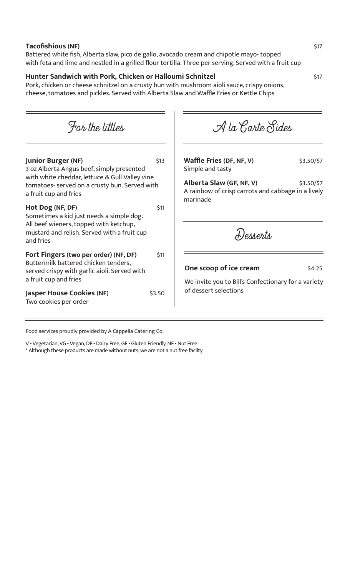#### **Tacofishious (NF)** \$17

Battered white fish, Alberta slaw, pico de gallo, avocado cream and chipotle mayo- topped with feta and lime and nestled in a grilled flour tortilla. Three per serving. Served with a fruit cup

## **Hunter Sandwich with Pork, Chicken or Halloumi Schnitzel** \$17

Pork, chicken or cheese schnitzel on a crusty bun with mushroom aioli sauce, crispy onions, cheese, tomatoes and pickles. Served with Alberta Slaw and Waffle Fries or Kettle Chips

**Junior Burger (NF)** \$13 3 oz Alberta Angus beef, simply presented with white cheddar, lettuce & Gull Valley vine tomatoes- served on a crusty bun. Served with a fruit cup and fries **Hot Dog (NF, DF)** \$11 Sometimes a kid just needs a simple dog. All beef wieners, topped with ketchup, mustard and relish. Served with a fruit cup and fries **Fort Fingers (two per order) (NF, DF)** \$11 Buttermilk battered chicken tenders, served crispy with garlic aioli. Served with a fruit cup and fries **Jasper House Cookies (NF)** \$3.50 Two cookies per order **Waffle Fries (DF, NF, V)** \$3.50/\$7 Simple and tasty **Alberta Slaw (GF, NF, V)** \$3.50/\$7 A rainbow of crisp carrots and cabbage in a lively marinade For the littles  $\mathcal A$  la Carte Sides **One scoop of ice cream** \$4.25 We invite you to Bill's Confectionary for a variety of dessert selections Desserts

Food services proudly provided by A Cappella Catering Co.

V - Vegetarian, VG - Vegan, DF - Dairy Free, GF - Gluten Friendly, NF - Nut Free \* Although these products are made without nuts, we are not a nut free facilty